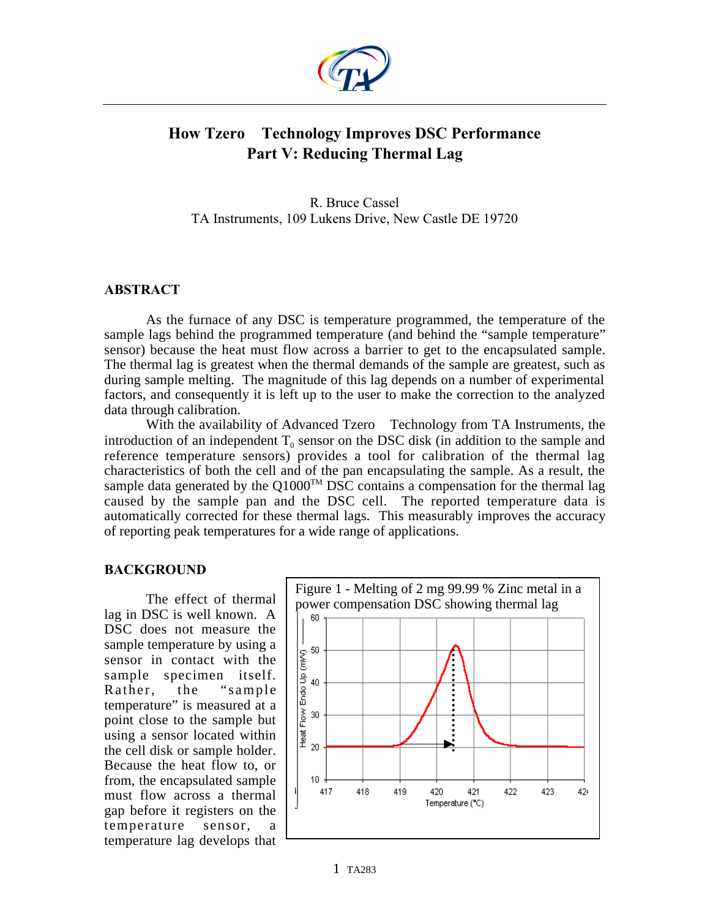

# **How Tzero Technology Improves DSC Performance Part V: Reducing Thermal Lag**

R. Bruce Cassel TA Instruments, 109 Lukens Drive, New Castle DE 19720

## **ABSTRACT**

As the furnace of any DSC is temperature programmed, the temperature of the sample lags behind the programmed temperature (and behind the "sample temperature" sensor) because the heat must flow across a barrier to get to the encapsulated sample. The thermal lag is greatest when the thermal demands of the sample are greatest, such as during sample melting. The magnitude of this lag depends on a number of experimental factors, and consequently it is left up to the user to make the correction to the analyzed data through calibration.

With the availability of Advanced Tzero™ Technology from TA Instruments, the introduction of an independent  $T_0$  sensor on the DSC disk (in addition to the sample and reference temperature sensors) provides a tool for calibration of the thermal lag characteristics of both the cell and of the pan encapsulating the sample. As a result, the sample data generated by the  $Q1000^{TM}$  DSC contains a compensation for the thermal lag caused by the sample pan and the DSC cell. The reported temperature data is automatically corrected for these thermal lags. This measurably improves the accuracy of reporting peak temperatures for a wide range of applications.

#### **BACKGROUND**

The effect of thermal lag in DSC is well known. A DSC does not measure the sample temperature by using a sensor in contact with the sample specimen itself. Rather, the "sample temperature" is measured at a point close to the sample but using a sensor located within the cell disk or sample holder. Because the heat flow to, or from, the encapsulated sample must flow across a thermal gap before it registers on the temperature sensor, temperature lag develops that

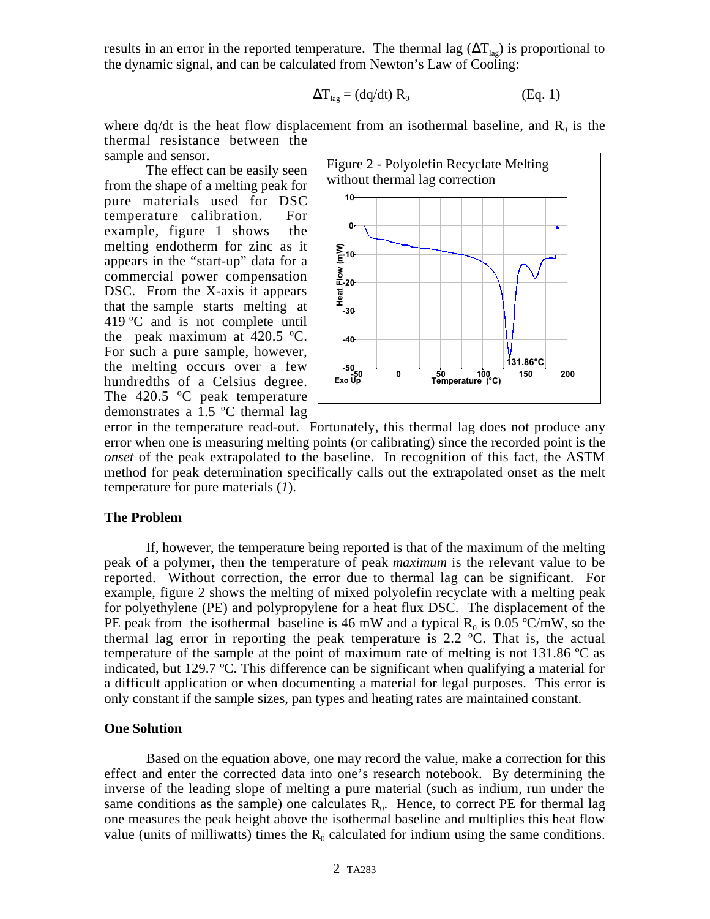results in an error in the reported temperature. The thermal lag ( $\Delta T_{\text{lag}}$ ) is proportional to the dynamic signal, and can be calculated from Newton's Law of Cooling:

$$
\Delta T_{lag} = (dq/dt) R_0
$$
 (Eq. 1)

where dq/dt is the heat flow displacement from an isothermal baseline, and  $R_0$  is the thermal resistance between the sample and sensor.

The effect can be easily seen from the shape of a melting peak for pure materials used for DSC temperature calibration. For example, figure 1 shows the melting endotherm for zinc as it appears in the "start-up" data for a commercial power compensation DSC. From the X-axis it appears that the sample starts melting at 419 ºC and is not complete until the peak maximum at 420.5 ºC. For such a pure sample, however, the melting occurs over a few hundredths of a Celsius degree. The 420.5 °C peak temperature demonstrates a 1.5 ºC thermal lag



error in the temperature read-out. Fortunately, this thermal lag does not produce any error when one is measuring melting points (or calibrating) since the recorded point is the *onset* of the peak extrapolated to the baseline. In recognition of this fact, the ASTM method for peak determination specifically calls out the extrapolated onset as the melt temperature for pure materials (*1*).

#### **The Problem**

If, however, the temperature being reported is that of the maximum of the melting peak of a polymer, then the temperature of peak *maximum* is the relevant value to be reported. Without correction, the error due to thermal lag can be significant. For example, figure 2 shows the melting of mixed polyolefin recyclate with a melting peak for polyethylene (PE) and polypropylene for a heat flux DSC. The displacement of the PE peak from the isothermal baseline is 46 mW and a typical  $R_0$  is 0.05 °C/mW, so the thermal lag error in reporting the peak temperature is 2.2 ºC. That is, the actual temperature of the sample at the point of maximum rate of melting is not  $131.86 \degree C$  as indicated, but 129.7 ºC. This difference can be significant when qualifying a material for a difficult application or when documenting a material for legal purposes. This error is only constant if the sample sizes, pan types and heating rates are maintained constant.

#### **One Solution**

Based on the equation above, one may record the value, make a correction for this effect and enter the corrected data into one's research notebook. By determining the inverse of the leading slope of melting a pure material (such as indium, run under the same conditions as the sample) one calculates  $R_0$ . Hence, to correct PE for thermal lag one measures the peak height above the isothermal baseline and multiplies this heat flow value (units of milliwatts) times the  $R_0$  calculated for indium using the same conditions.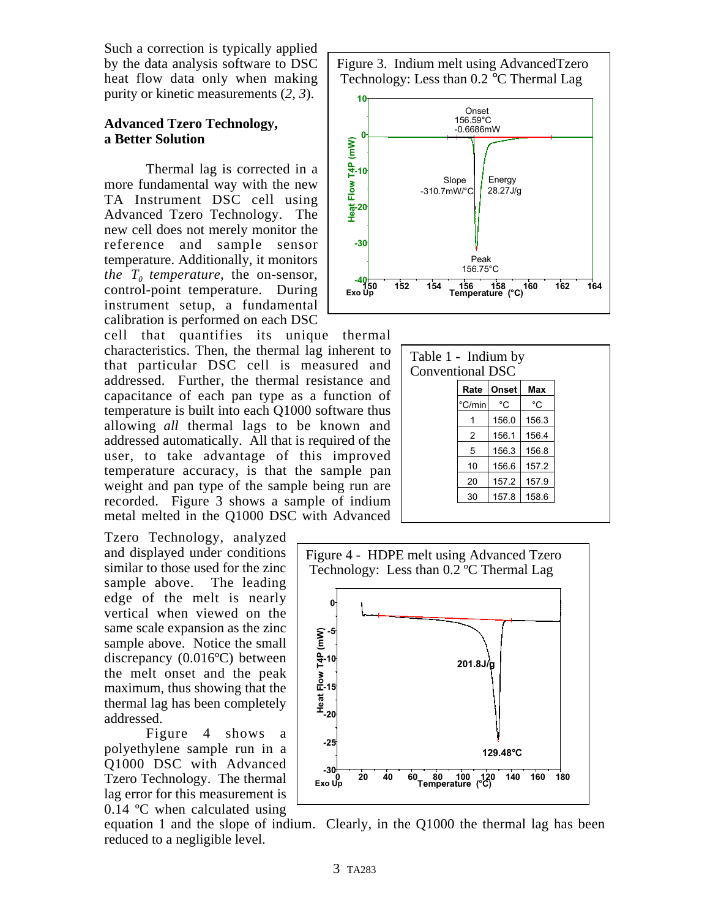Such a correction is typically applied by the data analysis software to DSC heat flow data only when making purity or kinetic measurements (*2, 3*).

# **Advanced Tzero Technology, a Better Solution**

Thermal lag is corrected in a more fundamental way with the new TA Instrument DSC cell using Advanced Tzero Technology. The new cell does not merely monitor the reference and sample sensor temperature. Additionally, it monitors *the*  $T_0$  *temperature*, the on-sensor, control-point temperature. During instrument setup, a fundamental calibration is performed on each DSC

cell that quantifies its unique thermal characteristics. Then, the thermal lag inherent to that particular DSC cell is measured and addressed. Further, the thermal resistance and capacitance of each pan type as a function of temperature is built into each Q1000 software thus allowing *all* thermal lags to be known and addressed automatically. All that is required of the user, to take advantage of this improved temperature accuracy, is that the sample pan weight and pan type of the sample being run are recorded. Figure 3 shows a sample of indium metal melted in the Q1000 DSC with Advanced

Tzero Technology, analyzed and displayed under conditions similar to those used for the zinc sample above. The leading edge of the melt is nearly vertical when viewed on the same scale expansion as the zinc sample above. Notice the small discrepancy (0.016ºC) between the melt onset and the peak maximum, thus showing that the thermal lag has been completely addressed.

Figure 4 shows a polyethylene sample run in a Q1000 DSC with Advanced Tzero Technology. The thermal lag error for this measurement is 0.14 ºC when calculated using

Figure 3. Indium melt using AdvancedTzero Technology: Less than 0.2 °C Thermal Lag



| Table 1 - Indium by<br><b>Conventional DSC</b> |        |       |       |
|------------------------------------------------|--------|-------|-------|
|                                                | Rate   | Onset | Max   |
|                                                | °C/min | °C    | °C    |
|                                                |        | 156.0 | 156.3 |
|                                                | 2      | 156.1 | 156.4 |
|                                                | 5      | 156.3 | 156.8 |
|                                                | 10     | 156.6 | 157.2 |
|                                                | 20     | 157.2 | 157.9 |
|                                                | 30     | 157.8 | 158.6 |



equation 1 and the slope of indium. Clearly, in the Q1000 the thermal lag has been reduced to a negligible level.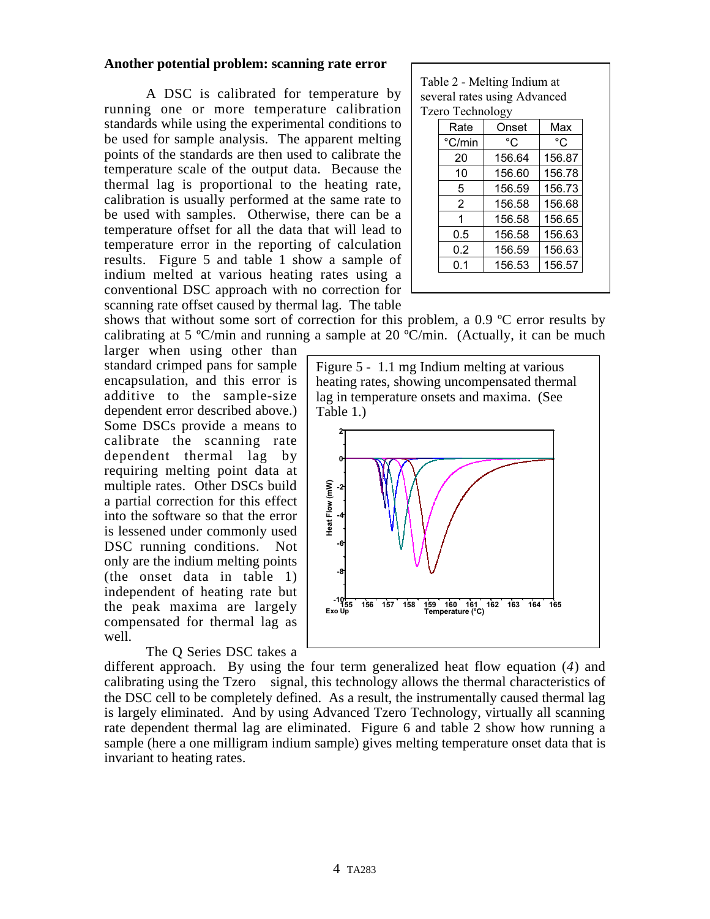## **Another potential problem: scanning rate error**

A DSC is calibrated for temperature by running one or more temperature calibration standards while using the experimental conditions to be used for sample analysis. The apparent melting points of the standards are then used to calibrate the temperature scale of the output data. Because the thermal lag is proportional to the heating rate, calibration is usually performed at the same rate to be used with samples. Otherwise, there can be a temperature offset for all the data that will lead to temperature error in the reporting of calculation results. Figure 5 and table 1 show a sample of indium melted at various heating rates using a conventional DSC approach with no correction for scanning rate offset caused by thermal lag. The table

Table 2 - Melting Indium at several rates using Advanced Tzero Technology

| Rate           | Onset  | Max    |
|----------------|--------|--------|
| °C/min         | °C     | °C     |
| 20             | 156.64 | 156.87 |
| 10             | 156.60 | 156.78 |
| 5              | 156.59 | 156.73 |
| $\overline{2}$ | 156.58 | 156.68 |
| 1              | 156.58 | 156.65 |
| 0.5            | 156.58 | 156.63 |
| 0.2            | 156.59 | 156.63 |
| 0.1            | 156.53 | 156.57 |

shows that without some sort of correction for this problem, a 0.9 ºC error results by calibrating at 5 °C/min and running a sample at 20 °C/min. (Actually, it can be much

larger when using other than standard crimped pans for sample encapsulation, and this error is additive to the sample-size dependent error described above.) Some DSCs provide a means to calibrate the scanning rate dependent thermal lag by requiring melting point data at multiple rates. Other DSCs build a partial correction for this effect into the software so that the error is lessened under commonly used DSC running conditions. Not only are the indium melting points (the onset data in table 1) independent of heating rate but the peak maxima are largely compensated for thermal lag as well.

# The Q Series DSC takes a

Figure 5 - 1.1 mg Indium melting at various heating rates, showing uncompensated thermal lag in temperature onsets and maxima. (See Table 1.)



different approach. By using the four term generalized heat flow equation (*4*) and calibrating using the  $Tzero^{TM}$  signal, this technology allows the thermal characteristics of the DSC cell to be completely defined. As a result, the instrumentally caused thermal lag is largely eliminated. And by using Advanced Tzero Technology, virtually all scanning rate dependent thermal lag are eliminated. Figure 6 and table 2 show how running a sample (here a one milligram indium sample) gives melting temperature onset data that is invariant to heating rates.